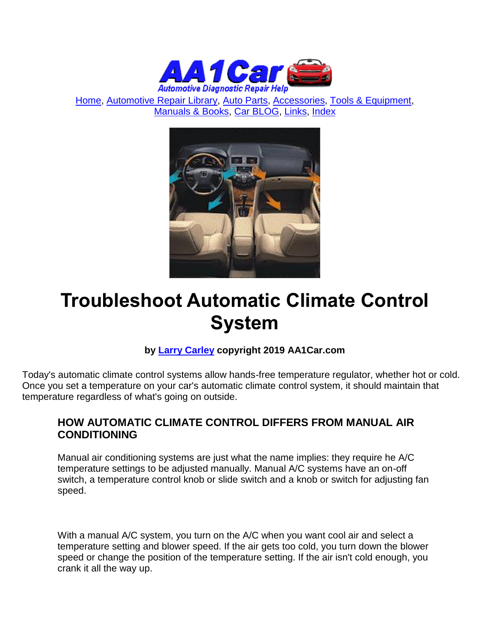

[Home,](http://www.aa1car.com/) [Automotive Repair Library,](http://www.aa1car.com/library.htm) [Auto Parts,](http://www.aa1car.com/links_parts.htm) [Accessories,](http://www.aa1car.com/links_accessories.htm) [Tools & Equipment,](http://www.aa1car.com/links_tools.htm) [Manuals & Books,](http://www.aa1car.com/links_books.htm) [Car BLOG,](http://www.aa1car.com/blog/blog.htm) [Links,](http://www.aa1car.com/links.htm) [Index](http://www.aa1car.com/index_alphabetical.htm)



# **Troubleshoot Automatic Climate Control System**

#### **by [Larry Carley](https://www.aa1car.com/larrypage/larrycarley_photos.htm) copyright 2019 AA1Car.com**

Today's automatic climate control systems allow hands-free temperature regulator, whether hot or cold. Once you set a temperature on your car's automatic climate control system, it should maintain that temperature regardless of what's going on outside.

#### **HOW AUTOMATIC CLIMATE CONTROL DIFFERS FROM MANUAL AIR CONDITIONING**

Manual air conditioning systems are just what the name implies: they require he A/C temperature settings to be adjusted manually. Manual A/C systems have an on-off switch, a temperature control knob or slide switch and a knob or switch for adjusting fan speed.

With a manual A/C system, you turn on the A/C when you want cool air and select a temperature setting and blower speed. If the air gets too cold, you turn down the blower speed or change the position of the temperature setting. If the air isn't cold enough, you crank it all the way up.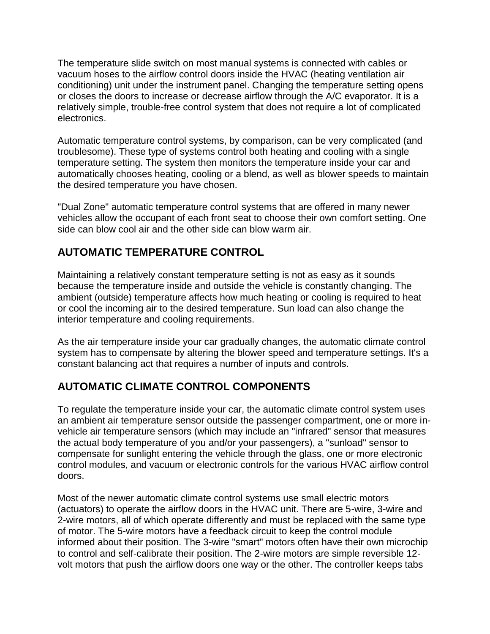The temperature slide switch on most manual systems is connected with cables or vacuum hoses to the airflow control doors inside the HVAC (heating ventilation air conditioning) unit under the instrument panel. Changing the temperature setting opens or closes the doors to increase or decrease airflow through the A/C evaporator. It is a relatively simple, trouble-free control system that does not require a lot of complicated electronics.

Automatic temperature control systems, by comparison, can be very complicated (and troublesome). These type of systems control both heating and cooling with a single temperature setting. The system then monitors the temperature inside your car and automatically chooses heating, cooling or a blend, as well as blower speeds to maintain the desired temperature you have chosen.

"Dual Zone" automatic temperature control systems that are offered in many newer vehicles allow the occupant of each front seat to choose their own comfort setting. One side can blow cool air and the other side can blow warm air.

# **AUTOMATIC TEMPERATURE CONTROL**

Maintaining a relatively constant temperature setting is not as easy as it sounds because the temperature inside and outside the vehicle is constantly changing. The ambient (outside) temperature affects how much heating or cooling is required to heat or cool the incoming air to the desired temperature. Sun load can also change the interior temperature and cooling requirements.

As the air temperature inside your car gradually changes, the automatic climate control system has to compensate by altering the blower speed and temperature settings. It's a constant balancing act that requires a number of inputs and controls.

# **AUTOMATIC CLIMATE CONTROL COMPONENTS**

To regulate the temperature inside your car, the automatic climate control system uses an ambient air temperature sensor outside the passenger compartment, one or more invehicle air temperature sensors (which may include an "infrared" sensor that measures the actual body temperature of you and/or your passengers), a "sunload" sensor to compensate for sunlight entering the vehicle through the glass, one or more electronic control modules, and vacuum or electronic controls for the various HVAC airflow control doors.

Most of the newer automatic climate control systems use small electric motors (actuators) to operate the airflow doors in the HVAC unit. There are 5-wire, 3-wire and 2-wire motors, all of which operate differently and must be replaced with the same type of motor. The 5-wire motors have a feedback circuit to keep the control module informed about their position. The 3-wire "smart" motors often have their own microchip to control and self-calibrate their position. The 2-wire motors are simple reversible 12 volt motors that push the airflow doors one way or the other. The controller keeps tabs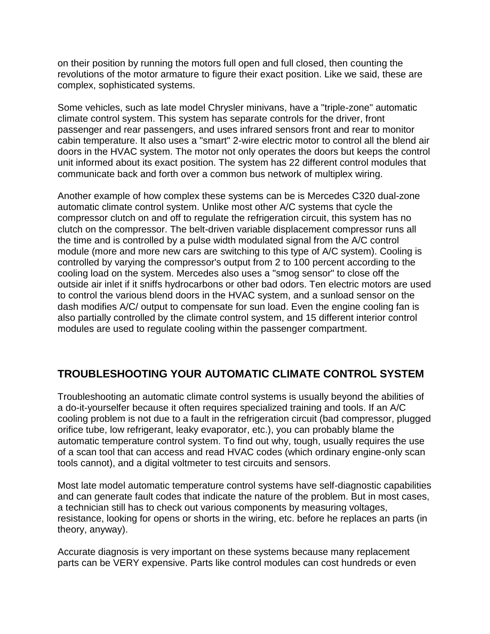on their position by running the motors full open and full closed, then counting the revolutions of the motor armature to figure their exact position. Like we said, these are complex, sophisticated systems.

Some vehicles, such as late model Chrysler minivans, have a "triple-zone" automatic climate control system. This system has separate controls for the driver, front passenger and rear passengers, and uses infrared sensors front and rear to monitor cabin temperature. It also uses a "smart" 2-wire electric motor to control all the blend air doors in the HVAC system. The motor not only operates the doors but keeps the control unit informed about its exact position. The system has 22 different control modules that communicate back and forth over a common bus network of multiplex wiring.

Another example of how complex these systems can be is Mercedes C320 dual-zone automatic climate control system. Unlike most other A/C systems that cycle the compressor clutch on and off to regulate the refrigeration circuit, this system has no clutch on the compressor. The belt-driven variable displacement compressor runs all the time and is controlled by a pulse width modulated signal from the A/C control module (more and more new cars are switching to this type of A/C system). Cooling is controlled by varying the compressor's output from 2 to 100 percent according to the cooling load on the system. Mercedes also uses a "smog sensor" to close off the outside air inlet if it sniffs hydrocarbons or other bad odors. Ten electric motors are used to control the various blend doors in the HVAC system, and a sunload sensor on the dash modifies A/C/ output to compensate for sun load. Even the engine cooling fan is also partially controlled by the climate control system, and 15 different interior control modules are used to regulate cooling within the passenger compartment.

# **TROUBLESHOOTING YOUR AUTOMATIC CLIMATE CONTROL SYSTEM**

Troubleshooting an automatic climate control systems is usually beyond the abilities of a do-it-yourselfer because it often requires specialized training and tools. If an A/C cooling problem is not due to a fault in the refrigeration circuit (bad compressor, plugged orifice tube, low refrigerant, leaky evaporator, etc.), you can probably blame the automatic temperature control system. To find out why, tough, usually requires the use of a scan tool that can access and read HVAC codes (which ordinary engine-only scan tools cannot), and a digital voltmeter to test circuits and sensors.

Most late model automatic temperature control systems have self-diagnostic capabilities and can generate fault codes that indicate the nature of the problem. But in most cases, a technician still has to check out various components by measuring voltages, resistance, looking for opens or shorts in the wiring, etc. before he replaces an parts (in theory, anyway).

Accurate diagnosis is very important on these systems because many replacement parts can be VERY expensive. Parts like control modules can cost hundreds or even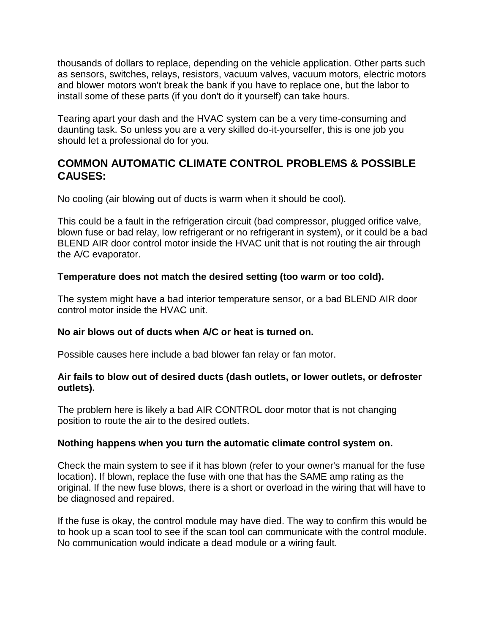thousands of dollars to replace, depending on the vehicle application. Other parts such as sensors, switches, relays, resistors, vacuum valves, vacuum motors, electric motors and blower motors won't break the bank if you have to replace one, but the labor to install some of these parts (if you don't do it yourself) can take hours.

Tearing apart your dash and the HVAC system can be a very time-consuming and daunting task. So unless you are a very skilled do-it-yourselfer, this is one job you should let a professional do for you.

### **COMMON AUTOMATIC CLIMATE CONTROL PROBLEMS & POSSIBLE CAUSES:**

No cooling (air blowing out of ducts is warm when it should be cool).

This could be a fault in the refrigeration circuit (bad compressor, plugged orifice valve, blown fuse or bad relay, low refrigerant or no refrigerant in system), or it could be a bad BLEND AIR door control motor inside the HVAC unit that is not routing the air through the A/C evaporator.

#### **Temperature does not match the desired setting (too warm or too cold).**

The system might have a bad interior temperature sensor, or a bad BLEND AIR door control motor inside the HVAC unit.

#### **No air blows out of ducts when A/C or heat is turned on.**

Possible causes here include a bad blower fan relay or fan motor.

#### **Air fails to blow out of desired ducts (dash outlets, or lower outlets, or defroster outlets).**

The problem here is likely a bad AIR CONTROL door motor that is not changing position to route the air to the desired outlets.

#### **Nothing happens when you turn the automatic climate control system on.**

Check the main system to see if it has blown (refer to your owner's manual for the fuse location). If blown, replace the fuse with one that has the SAME amp rating as the original. If the new fuse blows, there is a short or overload in the wiring that will have to be diagnosed and repaired.

If the fuse is okay, the control module may have died. The way to confirm this would be to hook up a scan tool to see if the scan tool can communicate with the control module. No communication would indicate a dead module or a wiring fault.